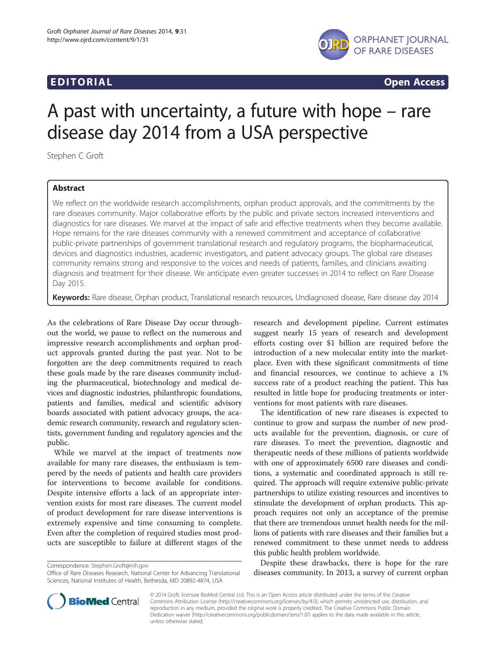## EDI TORIA L Open Access



# A past with uncertainty, a future with hope – rare disease day 2014 from a USA perspective

Stephen C Groft

### Abstract

We reflect on the worldwide research accomplishments, orphan product approvals, and the commitments by the rare diseases community. Major collaborative efforts by the public and private sectors increased interventions and diagnostics for rare diseases. We marvel at the impact of safe and effective treatments when they become available. Hope remains for the rare diseases community with a renewed commitment and acceptance of collaborative public-private partnerships of government translational research and regulatory programs, the biopharmaceutical, devices and diagnostics industries, academic investigators, and patient advocacy groups. The global rare diseases community remains strong and responsive to the voices and needs of patients, families, and clinicians awaiting diagnosis and treatment for their disease. We anticipate even greater successes in 2014 to reflect on Rare Disease Day 2015.

Keywords: Rare disease, Orphan product, Translational research resources, Undiagnosed disease, Rare disease day 2014

As the celebrations of Rare Disease Day occur throughout the world, we pause to reflect on the numerous and impressive research accomplishments and orphan product approvals granted during the past year. Not to be forgotten are the deep commitments required to reach these goals made by the rare diseases community including the pharmaceutical, biotechnology and medical devices and diagnostic industries, philanthropic foundations, patients and families, medical and scientific advisory boards associated with patient advocacy groups, the academic research community, research and regulatory scientists, government funding and regulatory agencies and the public.

While we marvel at the impact of treatments now available for many rare diseases, the enthusiasm is tempered by the needs of patients and health care providers for interventions to become available for conditions. Despite intensive efforts a lack of an appropriate intervention exists for most rare diseases. The current model of product development for rare disease interventions is extremely expensive and time consuming to complete. Even after the completion of required studies most products are susceptible to failure at different stages of the

Correspondence: [Stephen.Groft@nih.gov](mailto:Stephen.Groft@nih.gov)

research and development pipeline. Current estimates suggest nearly 15 years of research and development efforts costing over \$1 billion are required before the introduction of a new molecular entity into the marketplace. Even with these significant commitments of time and financial resources, we continue to achieve a 1% success rate of a product reaching the patient. This has resulted in little hope for producing treatments or interventions for most patients with rare diseases.

The identification of new rare diseases is expected to continue to grow and surpass the number of new products available for the prevention, diagnosis, or cure of rare diseases. To meet the prevention, diagnostic and therapeutic needs of these millions of patients worldwide with one of approximately 6500 rare diseases and conditions, a systematic and coordinated approach is still required. The approach will require extensive public-private partnerships to utilize existing resources and incentives to stimulate the development of orphan products. This approach requires not only an acceptance of the premise that there are tremendous unmet health needs for the millions of patients with rare diseases and their families but a renewed commitment to these unmet needs to address this public health problem worldwide.

Despite these drawbacks, there is hope for the rare diseases community. In 2013, a survey of current orphan



© 2014 Groft; licensee BioMed Central Ltd. This is an Open Access article distributed under the terms of the Creative Commons Attribution License [\(http://creativecommons.org/licenses/by/4.0\)](http://creativecommons.org/licenses/by/4.0), which permits unrestricted use, distribution, and reproduction in any medium, provided the original work is properly credited. The Creative Commons Public Domain Dedication waiver [\(http://creativecommons.org/publicdomain/zero/1.0/](http://creativecommons.org/publicdomain/zero/1.0/)) applies to the data made available in this article, unless otherwise stated.

Office of Rare Diseases Research, National Center for Advancing Translational Sciences, National Institutes of Health, Bethesda, MD 20892-4874, USA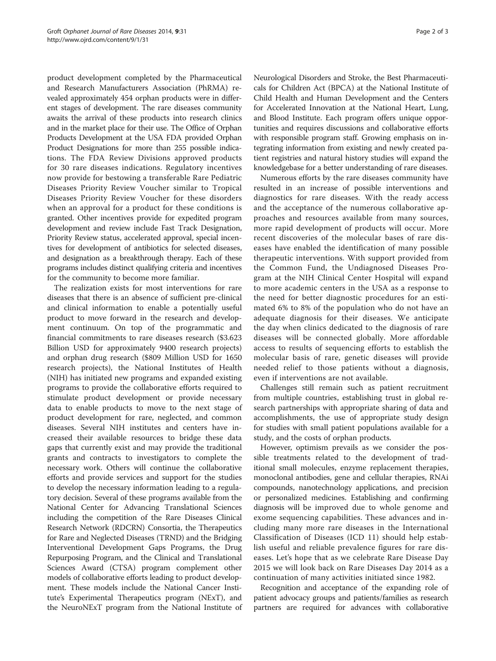product development completed by the Pharmaceutical and Research Manufacturers Association (PhRMA) revealed approximately 454 orphan products were in different stages of development. The rare diseases community awaits the arrival of these products into research clinics and in the market place for their use. The Office of Orphan Products Development at the USA FDA provided Orphan Product Designations for more than 255 possible indications. The FDA Review Divisions approved products for 30 rare diseases indications. Regulatory incentives now provide for bestowing a transferable Rare Pediatric Diseases Priority Review Voucher similar to Tropical Diseases Priority Review Voucher for these disorders when an approval for a product for these conditions is granted. Other incentives provide for expedited program development and review include Fast Track Designation, Priority Review status, accelerated approval, special incentives for development of antibiotics for selected diseases, and designation as a breakthrough therapy. Each of these programs includes distinct qualifying criteria and incentives for the community to become more familiar.

The realization exists for most interventions for rare diseases that there is an absence of sufficient pre-clinical and clinical information to enable a potentially useful product to move forward in the research and development continuum. On top of the programmatic and financial commitments to rare diseases research (\$3.623 Billion USD for approximately 9400 research projects) and orphan drug research (\$809 Million USD for 1650 research projects), the National Institutes of Health (NIH) has initiated new programs and expanded existing programs to provide the collaborative efforts required to stimulate product development or provide necessary data to enable products to move to the next stage of product development for rare, neglected, and common diseases. Several NIH institutes and centers have increased their available resources to bridge these data gaps that currently exist and may provide the traditional grants and contracts to investigators to complete the necessary work. Others will continue the collaborative efforts and provide services and support for the studies to develop the necessary information leading to a regulatory decision. Several of these programs available from the National Center for Advancing Translational Sciences including the competition of the Rare Diseases Clinical Research Network (RDCRN) Consortia, the Therapeutics for Rare and Neglected Diseases (TRND) and the Bridging Interventional Development Gaps Programs, the Drug Repurposing Program, and the Clinical and Translational Sciences Award (CTSA) program complement other models of collaborative efforts leading to product development. These models include the National Cancer Institute's Experimental Therapeutics program (NExT), and the NeuroNExT program from the National Institute of Neurological Disorders and Stroke, the Best Pharmaceuticals for Children Act (BPCA) at the National Institute of Child Health and Human Development and the Centers for Accelerated Innovation at the National Heart, Lung, and Blood Institute. Each program offers unique opportunities and requires discussions and collaborative efforts with responsible program staff. Growing emphasis on integrating information from existing and newly created patient registries and natural history studies will expand the knowledgebase for a better understanding of rare diseases.

Numerous efforts by the rare diseases community have resulted in an increase of possible interventions and diagnostics for rare diseases. With the ready access and the acceptance of the numerous collaborative approaches and resources available from many sources, more rapid development of products will occur. More recent discoveries of the molecular bases of rare diseases have enabled the identification of many possible therapeutic interventions. With support provided from the Common Fund, the Undiagnosed Diseases Program at the NIH Clinical Center Hospital will expand to more academic centers in the USA as a response to the need for better diagnostic procedures for an estimated 6% to 8% of the population who do not have an adequate diagnosis for their diseases. We anticipate the day when clinics dedicated to the diagnosis of rare diseases will be connected globally. More affordable access to results of sequencing efforts to establish the molecular basis of rare, genetic diseases will provide needed relief to those patients without a diagnosis, even if interventions are not available.

Challenges still remain such as patient recruitment from multiple countries, establishing trust in global research partnerships with appropriate sharing of data and accomplishments, the use of appropriate study design for studies with small patient populations available for a study, and the costs of orphan products.

However, optimism prevails as we consider the possible treatments related to the development of traditional small molecules, enzyme replacement therapies, monoclonal antibodies, gene and cellular therapies, RNAi compounds, nanotechnology applications, and precision or personalized medicines. Establishing and confirming diagnosis will be improved due to whole genome and exome sequencing capabilities. These advances and including many more rare diseases in the International Classification of Diseases (ICD 11) should help establish useful and reliable prevalence figures for rare diseases. Let's hope that as we celebrate Rare Disease Day 2015 we will look back on Rare Diseases Day 2014 as a continuation of many activities initiated since 1982.

Recognition and acceptance of the expanding role of patient advocacy groups and patients/families as research partners are required for advances with collaborative